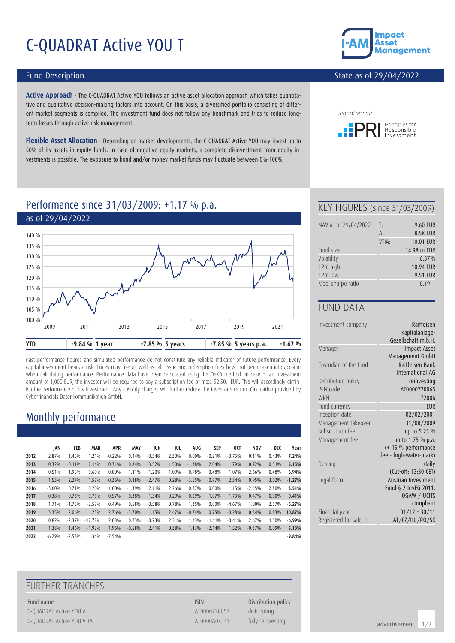# C-QUADRAT Active YOU T

#### Fund Description

**Active Approach** - The C-QUADRAT Active YOU follows an active asset allocation approach which takes quantitative and qualitative decision-making factors into account. On this basis, a diversified portfolio consisting of different market segments is compiled. The investment fund does not follow any benchmark and tries to reduce longterm losses through active risk management.

**Flexible Asset Allocation** - Depending on market developments, the C-QUADRAT Active YOU may invest up to 50% of its assets in equity funds. In case of negative equity markets, a complete disinvestment from equity investments is possible. The exposure to bond and/or money market funds may fluctuate between 0%-100%.



#### State as of 29/04/2022



### Performance since 31/03/2009: +1.17 % p.a.



Past performance figures and simulated performance do not constitute any reliable indicator of future performance. Every capital investment bears a risk. Prices may rise as well as fall. Issue and redemption fees have not been taken into account when calculating performance. Performance data have been calculated using the OeKB method. In case of an investment amount of 1,000 EUR, the investor will be required to pay a subscription fee of max. 52.50,- EUR. This will accordingly diminish the performance of his investment. Any custody charges will further reduce the investor's return. Calculation provided by Cyberfinancials Datenkommunikation GmbH.

### Monthly performance

|      | JAN      | FEB      | <b>MAR</b> | <b>APR</b> | <b>MAY</b> | JUN      | JUL   | AUG      | SEP      | 0CT      | <b>NOV</b> | DEC      | Year     |
|------|----------|----------|------------|------------|------------|----------|-------|----------|----------|----------|------------|----------|----------|
| 2012 | 2.87%    | 1.45%    | 1.21%      | $-0.22%$   | 0.44%      | $-0.54%$ | 2.30% | $0.00\%$ | $-0.21%$ | $-0.75%$ | 0.11%      | 0.43%    | 7.24%    |
| 2013 | 0.32%    | $-0.11%$ | 2.14%      | 0.31%      | 0.84%      | $-3.52%$ | 1.50% | $-1.38%$ | 2.04%    | 1.79%    | 0.72%      | 0.51%    | 5.15%    |
| 2014 | $-0.51%$ | 1.95%    | $-0.60%$   | $0.00\%$   | 1.11%      | 1.20%    | 1.09% | 0.98%    | $-0.48%$ | $-1.07%$ | 2.66%      | 0.48%    | 6.94%    |
| 2015 | 1.53%    | 2.27%    | 1.57%      | $-0.36%$   | 0.18%      | $-2.47%$ | 0.28% | $-3.55%$ | $-0.77%$ | 2.34%    | 0.95%      | $-3.02%$ | $-1.27%$ |
| 2016 | $-3.60%$ | 0.71%    | 0.20%      | 1.00%      | $-1.39%$   | 2.11%    | 2.26% | 0.87%    | $0.00\%$ | 1.15%    | $-2.45%$   | 2.80%    | 3.51%    |
| 2017 | $-0.38%$ | 0.73%    | $-0.75%$   | $-0.57%$   | $-0.38%$   | $-1.34%$ | 0.29% | $-0.29%$ | 1.07%    | 1.73%    | $-0.47%$   | $0.00\%$ | $-0.41%$ |
| 2018 | 1.71%    | $-1.75%$ | $-2.57%$   | 0.49%      | 0.58%      | $-0.58%$ | 0.78% | 1.35%    | $0.00\%$ | $-4.67%$ | 1.00%      | $-2.57%$ | $-6.27%$ |
| 2019 | 3.35%    | 2.06%    | 1.25%      | 2.76%      | $-3.70%$   | 1.15%    | 2.47% | $-0.74%$ | 0.75%    | $-0.28%$ | 0.84%      | 0.83%    | 10.87%   |
| 2020 | 0.82%    | $-2.37%$ | $-12.78%$  | 2.03%      | 0.73%      | $-0.73%$ | 2.31% | 1.43%    | $-1.41%$ | $-0.41%$ | 2.67%      | 1.50%    | $-6.99%$ |
| 2021 | 1.38%    | 1.46%    | $-1.92%$   | 1.96%      | $-0.58%$   | 2.41%    | 0.38% | 1.13%    | $-2.14%$ | 1.52%    | $-0.37%$   | $-0.09%$ | 5.13%    |
| 2022 | $-6.29%$ | $-2.58%$ | 1.34%      | $-2.54%$   |            |          |       |          |          |          |            |          | $-9.84%$ |

### FURTHER TRANCHES

Fund name **ISIN** Distribution policy C-QUADRAT Active YOU A ATOO AT A ATOO AT A ATOO AT A ATOO AT A ATOO AT A ATOO AT A AT A AT A AT A AT A AT A AT A AT A AT A AT A AT A AT A AT A AT A AT A AT A AT A AT A AT A AT A AT A AT A AT A AT A AT A AT A AT A AT A AT A C-QUADRAT Active YOU VTIA and the state of the control of the AT0000A0K241 fully reinvesting

#### KEY FIGURES (since 31/03/2009)

| NAV as of 29/04/2022 | T:    | 9.60 EUR    |
|----------------------|-------|-------------|
|                      | $A$ : | 8.58 EUR    |
|                      | VTIA: | 10.01 EUR   |
| Fund size            |       | 14.98 m EUR |
| Volatility           |       | 6.37%       |
| 12m high             |       | 10.94 EUR   |
| $12m$ low            |       | 9.51 EUR    |
| Mod. sharpe ratio    |       | 0.19        |

#### FUND DATA

| Investment company     | Raiffeisen<br>Kapitalanlage-<br>Gesellschaft m.b.H. |
|------------------------|-----------------------------------------------------|
| Manager                | <b>Impact Asset</b>                                 |
|                        | Management GmbH                                     |
| Custodian of the fund  | Raiffeisen Bank<br>International AG                 |
| Distribution policy    | reinvesting                                         |
| ISIN code              | AT0000720065                                        |
| <b>WKN</b>             | 72006                                               |
| Fund currency          | <b>EUR</b>                                          |
| Inception date         | 02/02/2001                                          |
| Management takeover    | 31/08/2009                                          |
| Subscription fee       | up to 5.25 %                                        |
| Management fee         | up to 1.75 % p.a.                                   |
|                        | (+ 15 % performance                                 |
|                        | fee - high-water-mark)                              |
| Dealing                | daily                                               |
|                        | (Cut-off: 13:30 CET)                                |
| Legal form             | Austrian Investment                                 |
|                        | Fund § 2 InvFG 2011,                                |
|                        | OGAW / UCITS                                        |
|                        | compliant                                           |
| Financial year         | $01/12 - 30/11$                                     |
| Registered for sale in | AT/CZ/HU/RO/SK                                      |